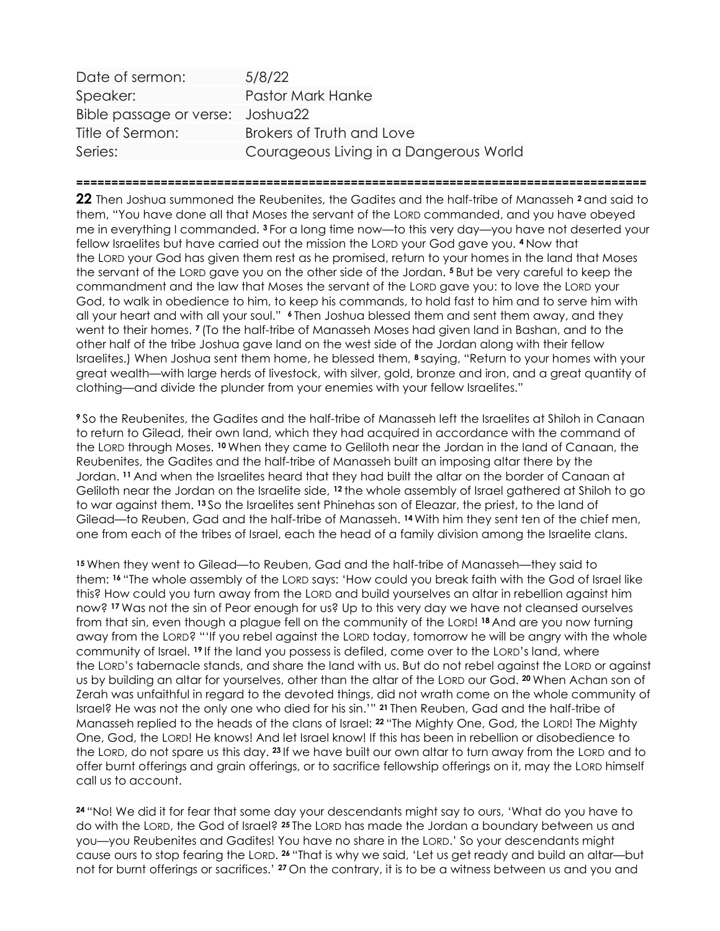| Date of sermon:                  | 5/8/22                                 |
|----------------------------------|----------------------------------------|
| Speaker:                         | Pastor Mark Hanke                      |
| Bible passage or verse: Joshua22 |                                        |
| Title of Sermon:                 | Brokers of Truth and Love              |
| Series:                          | Courageous Living in a Dangerous World |

=================================================================================

22 Then Joshua summoned the Reubenites, the Gadites and the half-tribe of Manasseh <sup>2</sup> and said to them, "You have done all that Moses the servant of the LORD commanded, and you have obeyed me in everything I commanded. 3 For a long time now—to this very day—you have not deserted your fellow Israelites but have carried out the mission the LORD your God gave you. 4 Now that the LORD your God has given them rest as he promised, return to your homes in the land that Moses the servant of the LORD gave you on the other side of the Jordan. 5 But be very careful to keep the commandment and the law that Moses the servant of the LORD gave you: to love the LORD your God, to walk in obedience to him, to keep his commands, to hold fast to him and to serve him with all your heart and with all your soul." 6 Then Joshua blessed them and sent them away, and they went to their homes. 7 (To the half-tribe of Manasseh Moses had given land in Bashan, and to the other half of the tribe Joshua gave land on the west side of the Jordan along with their fellow Israelites.) When Joshua sent them home, he blessed them, <sup>8</sup> saying, "Return to your homes with your great wealth—with large herds of livestock, with silver, gold, bronze and iron, and a great quantity of clothing—and divide the plunder from your enemies with your fellow Israelites."

<sup>9</sup>So the Reubenites, the Gadites and the half-tribe of Manasseh left the Israelites at Shiloh in Canaan to return to Gilead, their own land, which they had acquired in accordance with the command of the LORD through Moses. 10 When they came to Geliloth near the Jordan in the land of Canaan, the Reubenites, the Gadites and the half-tribe of Manasseh built an imposing altar there by the Jordan. 11 And when the Israelites heard that they had built the altar on the border of Canaan at Geliloth near the Jordan on the Israelite side, <sup>12</sup> the whole assembly of Israel gathered at Shiloh to go to war against them. <sup>13</sup> So the Israelites sent Phinehas son of Eleazar, the priest, to the land of Gilead—to Reuben, Gad and the half-tribe of Manasseh. 14 With him they sent ten of the chief men, one from each of the tribes of Israel, each the head of a family division among the Israelite clans.

<sup>15</sup>When they went to Gilead—to Reuben, Gad and the half-tribe of Manasseh—they said to them: 16 "The whole assembly of the LORD says: 'How could you break faith with the God of Israel like this? How could you turn away from the LORD and build yourselves an altar in rebellion against him now? 17 Was not the sin of Peor enough for us? Up to this very day we have not cleansed ourselves from that sin, even though a plague fell on the community of the LORD! 18 And are you now turning away from the LORD? "'If you rebel against the LORD today, tomorrow he will be angry with the whole community of Israel. 19 If the land you possess is defiled, come over to the LORD's land, where the LORD's tabernacle stands, and share the land with us. But do not rebel against the LORD or against us by building an altar for yourselves, other than the altar of the LORD our God. 20 When Achan son of Zerah was unfaithful in regard to the devoted things, did not wrath come on the whole community of Israel? He was not the only one who died for his sin.'" 21 Then Reuben, Gad and the half-tribe of Manasseh replied to the heads of the clans of Israel: 22 "The Mighty One, God, the LORD! The Mighty One, God, the LORD! He knows! And let Israel know! If this has been in rebellion or disobedience to the LORD, do not spare us this day. 23 If we have built our own altar to turn away from the LORD and to offer burnt offerings and grain offerings, or to sacrifice fellowship offerings on it, may the LORD himself call us to account.

<sup>24</sup>"No! We did it for fear that some day your descendants might say to ours, 'What do you have to do with the LORD, the God of Israel? 25 The LORD has made the Jordan a boundary between us and you—you Reubenites and Gadites! You have no share in the LORD.' So your descendants might cause ours to stop fearing the LORD. <sup>26</sup>"That is why we said, 'Let us get ready and build an altar—but not for burnt offerings or sacrifices.' 27 On the contrary, it is to be a witness between us and you and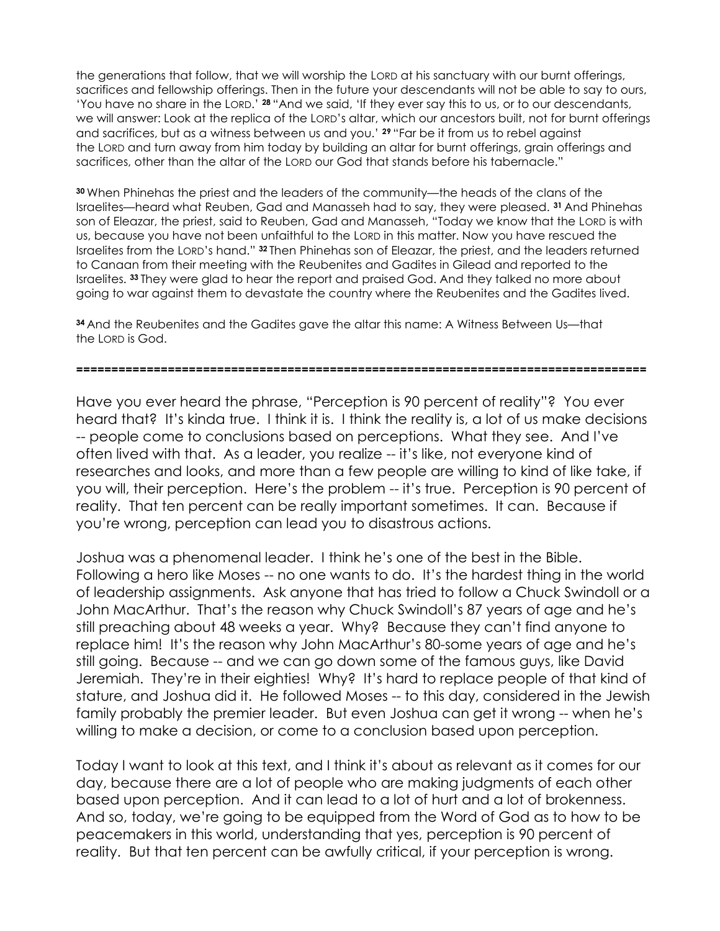the generations that follow, that we will worship the LORD at his sanctuary with our burnt offerings, sacrifices and fellowship offerings. Then in the future your descendants will not be able to say to ours, 'You have no share in the LORD.' 28 "And we said, 'If they ever say this to us, or to our descendants, we will answer: Look at the replica of the LORD's altar, which our ancestors built, not for burnt offerings and sacrifices, but as a witness between us and you.' 29 "Far be it from us to rebel against the LORD and turn away from him today by building an altar for burnt offerings, grain offerings and sacrifices, other than the altar of the LORD our God that stands before his tabernacle."

<sup>30</sup>When Phinehas the priest and the leaders of the community—the heads of the clans of the Israelites—heard what Reuben, Gad and Manasseh had to say, they were pleased. 31 And Phinehas son of Eleazar, the priest, said to Reuben, Gad and Manasseh, "Today we know that the LORD is with us, because you have not been unfaithful to the LORD in this matter. Now you have rescued the Israelites from the LORD's hand." 32 Then Phinehas son of Eleazar, the priest, and the leaders returned to Canaan from their meeting with the Reubenites and Gadites in Gilead and reported to the Israelites. 33 They were glad to hear the report and praised God. And they talked no more about going to war against them to devastate the country where the Reubenites and the Gadites lived.

<sup>34</sup>And the Reubenites and the Gadites gave the altar this name: A Witness Between Us—that the LORD is God.

## =================================================================================

Have you ever heard the phrase, "Perception is 90 percent of reality"? You ever heard that? It's kinda true. I think it is. I think the reality is, a lot of us make decisions -- people come to conclusions based on perceptions. What they see. And I've often lived with that. As a leader, you realize -- it's like, not everyone kind of researches and looks, and more than a few people are willing to kind of like take, if you will, their perception. Here's the problem -- it's true. Perception is 90 percent of reality. That ten percent can be really important sometimes. It can. Because if you're wrong, perception can lead you to disastrous actions.

Joshua was a phenomenal leader. I think he's one of the best in the Bible. Following a hero like Moses -- no one wants to do. It's the hardest thing in the world of leadership assignments. Ask anyone that has tried to follow a Chuck Swindoll or a John MacArthur. That's the reason why Chuck Swindoll's 87 years of age and he's still preaching about 48 weeks a year. Why? Because they can't find anyone to replace him! It's the reason why John MacArthur's 80-some years of age and he's still going. Because -- and we can go down some of the famous guys, like David Jeremiah. They're in their eighties! Why? It's hard to replace people of that kind of stature, and Joshua did it. He followed Moses -- to this day, considered in the Jewish family probably the premier leader. But even Joshua can get it wrong -- when he's willing to make a decision, or come to a conclusion based upon perception.

Today I want to look at this text, and I think it's about as relevant as it comes for our day, because there are a lot of people who are making judgments of each other based upon perception. And it can lead to a lot of hurt and a lot of brokenness. And so, today, we're going to be equipped from the Word of God as to how to be peacemakers in this world, understanding that yes, perception is 90 percent of reality. But that ten percent can be awfully critical, if your perception is wrong.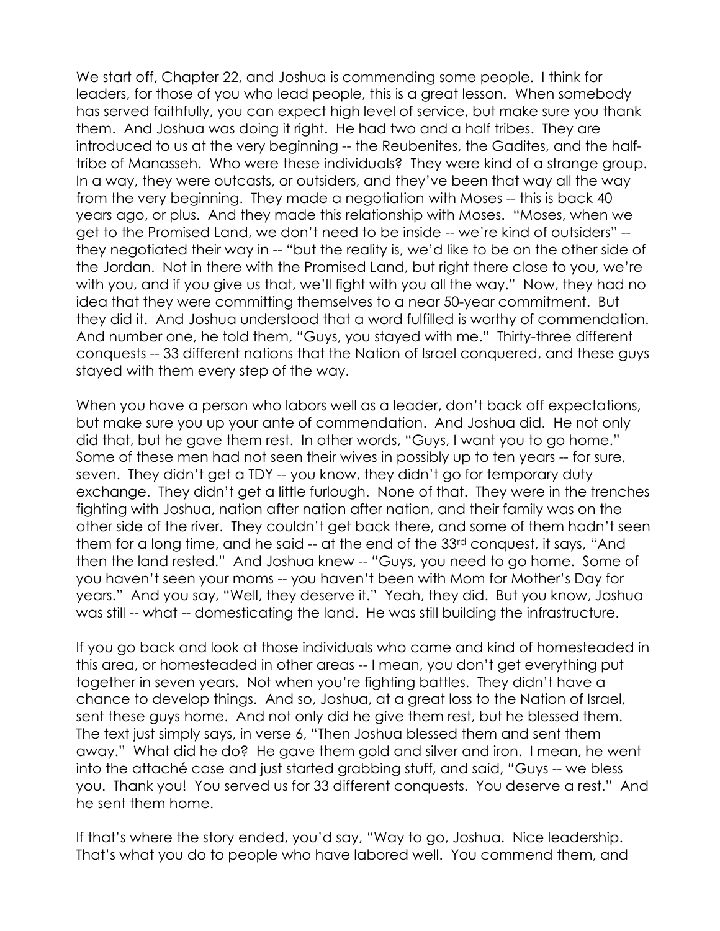We start off, Chapter 22, and Joshua is commending some people. I think for leaders, for those of you who lead people, this is a great lesson. When somebody has served faithfully, you can expect high level of service, but make sure you thank them. And Joshua was doing it right. He had two and a half tribes. They are introduced to us at the very beginning -- the Reubenites, the Gadites, and the halftribe of Manasseh. Who were these individuals? They were kind of a strange group. In a way, they were outcasts, or outsiders, and they've been that way all the way from the very beginning. They made a negotiation with Moses -- this is back 40 years ago, or plus. And they made this relationship with Moses. "Moses, when we get to the Promised Land, we don't need to be inside -- we're kind of outsiders" - they negotiated their way in -- "but the reality is, we'd like to be on the other side of the Jordan. Not in there with the Promised Land, but right there close to you, we're with you, and if you give us that, we'll fight with you all the way." Now, they had no idea that they were committing themselves to a near 50-year commitment. But they did it. And Joshua understood that a word fulfilled is worthy of commendation. And number one, he told them, "Guys, you stayed with me." Thirty-three different conquests -- 33 different nations that the Nation of Israel conquered, and these guys stayed with them every step of the way.

When you have a person who labors well as a leader, don't back off expectations, but make sure you up your ante of commendation. And Joshua did. He not only did that, but he gave them rest. In other words, "Guys, I want you to go home." Some of these men had not seen their wives in possibly up to ten years -- for sure, seven. They didn't get a TDY -- you know, they didn't go for temporary duty exchange. They didn't get a little furlough. None of that. They were in the trenches fighting with Joshua, nation after nation after nation, and their family was on the other side of the river. They couldn't get back there, and some of them hadn't seen them for a long time, and he said -- at the end of the 33rd conquest, it says, "And then the land rested." And Joshua knew -- "Guys, you need to go home. Some of you haven't seen your moms -- you haven't been with Mom for Mother's Day for years." And you say, "Well, they deserve it." Yeah, they did. But you know, Joshua was still -- what -- domesticating the land. He was still building the infrastructure.

If you go back and look at those individuals who came and kind of homesteaded in this area, or homesteaded in other areas -- I mean, you don't get everything put together in seven years. Not when you're fighting battles. They didn't have a chance to develop things. And so, Joshua, at a great loss to the Nation of Israel, sent these guys home. And not only did he give them rest, but he blessed them. The text just simply says, in verse 6, "Then Joshua blessed them and sent them away." What did he do? He gave them gold and silver and iron. I mean, he went into the attaché case and just started grabbing stuff, and said, "Guys -- we bless you. Thank you! You served us for 33 different conquests. You deserve a rest." And he sent them home.

If that's where the story ended, you'd say, "Way to go, Joshua. Nice leadership. That's what you do to people who have labored well. You commend them, and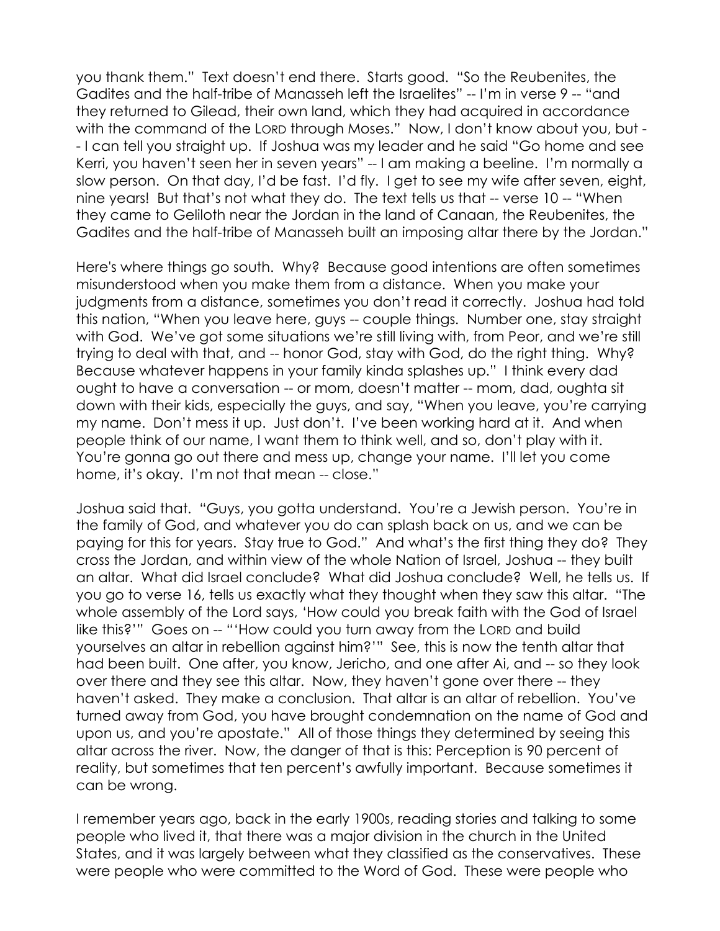you thank them." Text doesn't end there. Starts good. "So the Reubenites, the Gadites and the half-tribe of Manasseh left the Israelites" -- I'm in verse 9 -- "and they returned to Gilead, their own land, which they had acquired in accordance with the command of the LORD through Moses." Now, I don't know about you, but -- I can tell you straight up. If Joshua was my leader and he said "Go home and see Kerri, you haven't seen her in seven years" -- I am making a beeline. I'm normally a slow person. On that day, I'd be fast. I'd fly. I get to see my wife after seven, eight, nine years! But that's not what they do. The text tells us that -- verse 10 -- "When they came to Geliloth near the Jordan in the land of Canaan, the Reubenites, the Gadites and the half-tribe of Manasseh built an imposing altar there by the Jordan."

Here's where things go south. Why? Because good intentions are often sometimes misunderstood when you make them from a distance. When you make your judgments from a distance, sometimes you don't read it correctly. Joshua had told this nation, "When you leave here, guys -- couple things. Number one, stay straight with God. We've got some situations we're still living with, from Peor, and we're still trying to deal with that, and -- honor God, stay with God, do the right thing. Why? Because whatever happens in your family kinda splashes up." I think every dad ought to have a conversation -- or mom, doesn't matter -- mom, dad, oughta sit down with their kids, especially the guys, and say, "When you leave, you're carrying my name. Don't mess it up. Just don't. I've been working hard at it. And when people think of our name, I want them to think well, and so, don't play with it. You're gonna go out there and mess up, change your name. I'll let you come home, it's okay. I'm not that mean -- close."

Joshua said that. "Guys, you gotta understand. You're a Jewish person. You're in the family of God, and whatever you do can splash back on us, and we can be paying for this for years. Stay true to God." And what's the first thing they do? They cross the Jordan, and within view of the whole Nation of Israel, Joshua -- they built an altar. What did Israel conclude? What did Joshua conclude? Well, he tells us. If you go to verse 16, tells us exactly what they thought when they saw this altar. "The whole assembly of the Lord says, 'How could you break faith with the God of Israel like this?'" Goes on -- "'How could you turn away from the LORD and build yourselves an altar in rebellion against him?'" See, this is now the tenth altar that had been built. One after, you know, Jericho, and one after Ai, and -- so they look over there and they see this altar. Now, they haven't gone over there -- they haven't asked. They make a conclusion. That altar is an altar of rebellion. You've turned away from God, you have brought condemnation on the name of God and upon us, and you're apostate." All of those things they determined by seeing this altar across the river. Now, the danger of that is this: Perception is 90 percent of reality, but sometimes that ten percent's awfully important. Because sometimes it can be wrong.

I remember years ago, back in the early 1900s, reading stories and talking to some people who lived it, that there was a major division in the church in the United States, and it was largely between what they classified as the conservatives. These were people who were committed to the Word of God. These were people who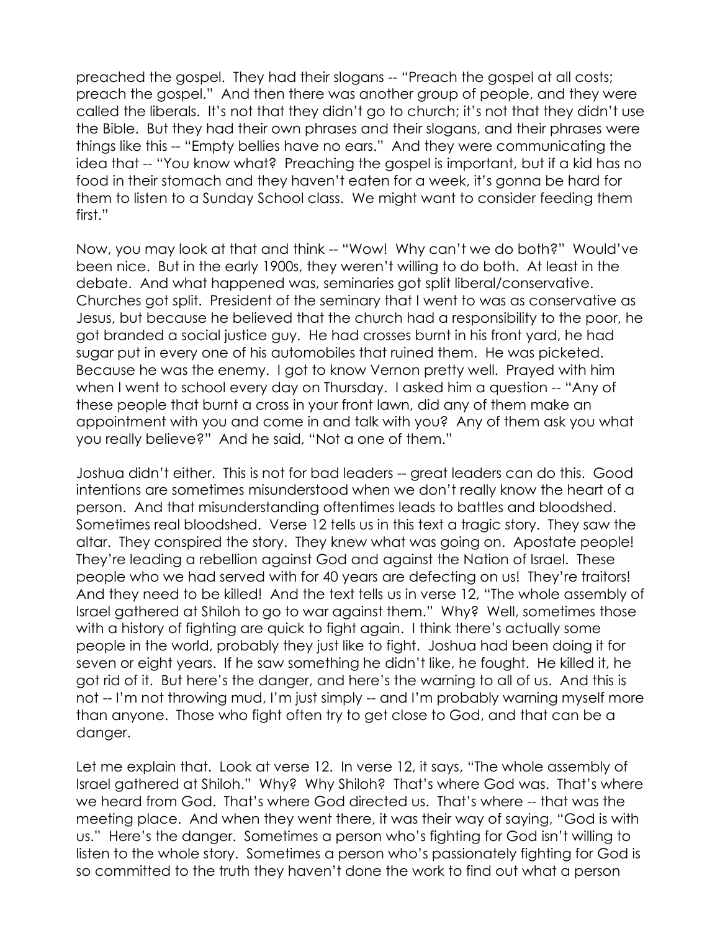preached the gospel. They had their slogans -- "Preach the gospel at all costs; preach the gospel." And then there was another group of people, and they were called the liberals. It's not that they didn't go to church; it's not that they didn't use the Bible. But they had their own phrases and their slogans, and their phrases were things like this -- "Empty bellies have no ears." And they were communicating the idea that -- "You know what? Preaching the gospel is important, but if a kid has no food in their stomach and they haven't eaten for a week, it's gonna be hard for them to listen to a Sunday School class. We might want to consider feeding them first."

Now, you may look at that and think -- "Wow! Why can't we do both?" Would've been nice. But in the early 1900s, they weren't willing to do both. At least in the debate. And what happened was, seminaries got split liberal/conservative. Churches got split. President of the seminary that I went to was as conservative as Jesus, but because he believed that the church had a responsibility to the poor, he got branded a social justice guy. He had crosses burnt in his front yard, he had sugar put in every one of his automobiles that ruined them. He was picketed. Because he was the enemy. I got to know Vernon pretty well. Prayed with him when I went to school every day on Thursday. I asked him a question -- "Any of these people that burnt a cross in your front lawn, did any of them make an appointment with you and come in and talk with you? Any of them ask you what you really believe?" And he said, "Not a one of them."

Joshua didn't either. This is not for bad leaders -- great leaders can do this. Good intentions are sometimes misunderstood when we don't really know the heart of a person. And that misunderstanding oftentimes leads to battles and bloodshed. Sometimes real bloodshed. Verse 12 tells us in this text a tragic story. They saw the altar. They conspired the story. They knew what was going on. Apostate people! They're leading a rebellion against God and against the Nation of Israel. These people who we had served with for 40 years are defecting on us! They're traitors! And they need to be killed! And the text tells us in verse 12, "The whole assembly of Israel gathered at Shiloh to go to war against them." Why? Well, sometimes those with a history of fighting are quick to fight again. I think there's actually some people in the world, probably they just like to fight. Joshua had been doing it for seven or eight years. If he saw something he didn't like, he fought. He killed it, he got rid of it. But here's the danger, and here's the warning to all of us. And this is not -- I'm not throwing mud, I'm just simply -- and I'm probably warning myself more than anyone. Those who fight often try to get close to God, and that can be a danger.

Let me explain that. Look at verse 12. In verse 12, it says, "The whole assembly of Israel gathered at Shiloh." Why? Why Shiloh? That's where God was. That's where we heard from God. That's where God directed us. That's where -- that was the meeting place. And when they went there, it was their way of saying, "God is with us." Here's the danger. Sometimes a person who's fighting for God isn't willing to listen to the whole story. Sometimes a person who's passionately fighting for God is so committed to the truth they haven't done the work to find out what a person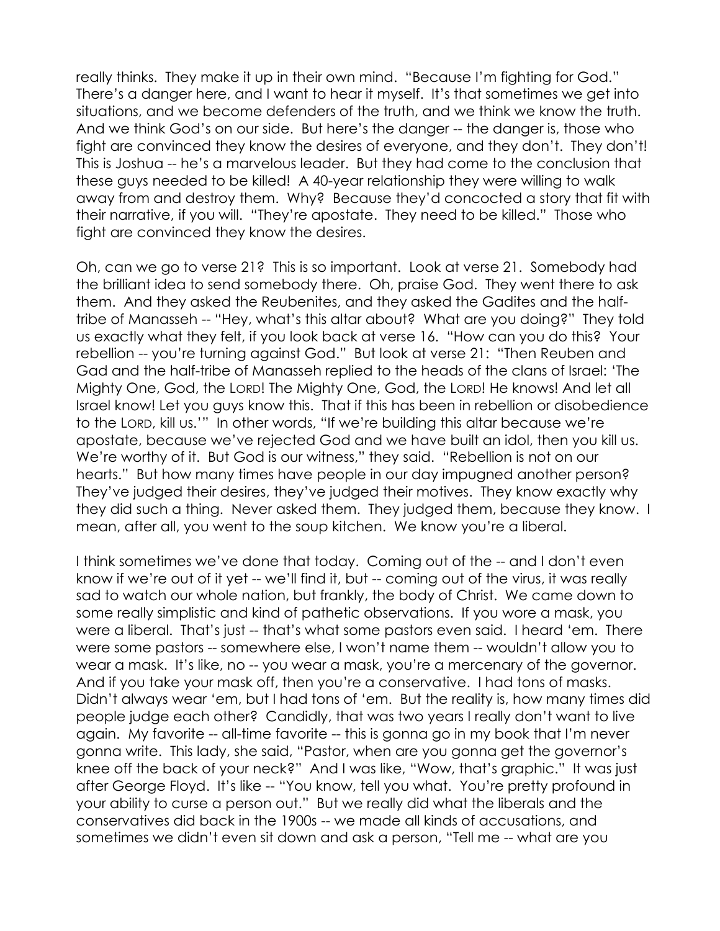really thinks. They make it up in their own mind. "Because I'm fighting for God." There's a danger here, and I want to hear it myself. It's that sometimes we get into situations, and we become defenders of the truth, and we think we know the truth. And we think God's on our side. But here's the danger -- the danger is, those who fight are convinced they know the desires of everyone, and they don't. They don't! This is Joshua -- he's a marvelous leader. But they had come to the conclusion that these guys needed to be killed! A 40-year relationship they were willing to walk away from and destroy them. Why? Because they'd concocted a story that fit with their narrative, if you will. "They're apostate. They need to be killed." Those who fight are convinced they know the desires.

Oh, can we go to verse 21? This is so important. Look at verse 21. Somebody had the brilliant idea to send somebody there. Oh, praise God. They went there to ask them. And they asked the Reubenites, and they asked the Gadites and the halftribe of Manasseh -- "Hey, what's this altar about? What are you doing?" They told us exactly what they felt, if you look back at verse 16. "How can you do this? Your rebellion -- you're turning against God." But look at verse 21: "Then Reuben and Gad and the half-tribe of Manasseh replied to the heads of the clans of Israel: 'The Mighty One, God, the LORD! The Mighty One, God, the LORD! He knows! And let all Israel know! Let you guys know this. That if this has been in rebellion or disobedience to the LORD, kill us.'" In other words, "If we're building this altar because we're apostate, because we've rejected God and we have built an idol, then you kill us. We're worthy of it. But God is our witness," they said. "Rebellion is not on our hearts." But how many times have people in our day impugned another person? They've judged their desires, they've judged their motives. They know exactly why they did such a thing. Never asked them. They judged them, because they know. I mean, after all, you went to the soup kitchen. We know you're a liberal.

I think sometimes we've done that today. Coming out of the -- and I don't even know if we're out of it yet -- we'll find it, but -- coming out of the virus, it was really sad to watch our whole nation, but frankly, the body of Christ. We came down to some really simplistic and kind of pathetic observations. If you wore a mask, you were a liberal. That's just -- that's what some pastors even said. I heard 'em. There were some pastors -- somewhere else, I won't name them -- wouldn't allow you to wear a mask. It's like, no -- you wear a mask, you're a mercenary of the governor. And if you take your mask off, then you're a conservative. I had tons of masks. Didn't always wear 'em, but I had tons of 'em. But the reality is, how many times did people judge each other? Candidly, that was two years I really don't want to live again. My favorite -- all-time favorite -- this is gonna go in my book that I'm never gonna write. This lady, she said, "Pastor, when are you gonna get the governor's knee off the back of your neck?" And I was like, "Wow, that's graphic." It was just after George Floyd. It's like -- "You know, tell you what. You're pretty profound in your ability to curse a person out." But we really did what the liberals and the conservatives did back in the 1900s -- we made all kinds of accusations, and sometimes we didn't even sit down and ask a person, "Tell me -- what are you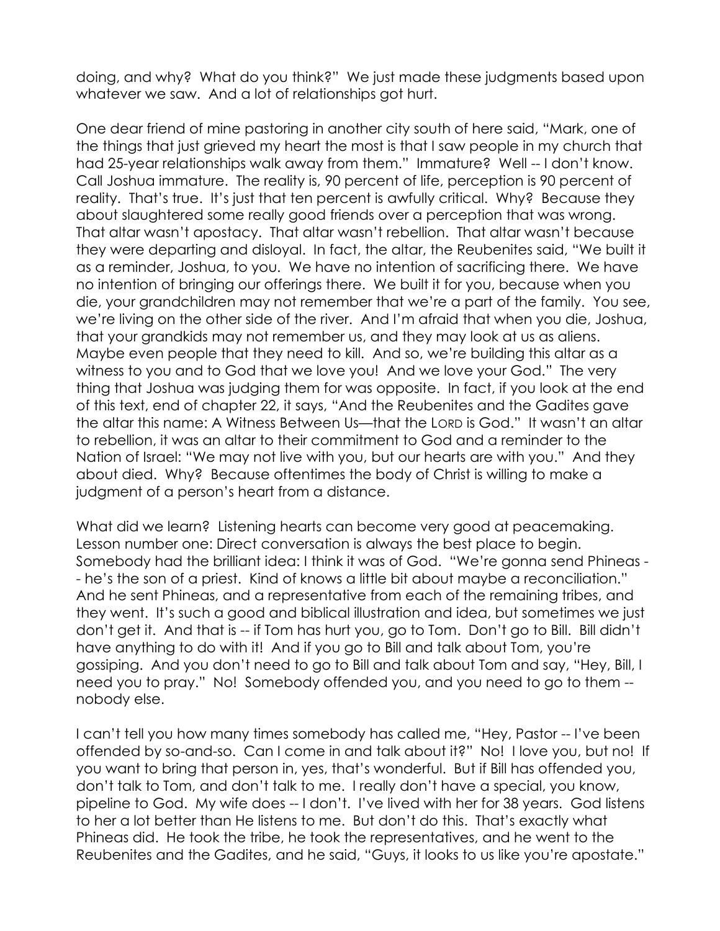doing, and why? What do you think?" We just made these judgments based upon whatever we saw. And a lot of relationships got hurt.

One dear friend of mine pastoring in another city south of here said, "Mark, one of the things that just grieved my heart the most is that I saw people in my church that had 25-year relationships walk away from them." Immature? Well -- I don't know. Call Joshua immature. The reality is, 90 percent of life, perception is 90 percent of reality. That's true. It's just that ten percent is awfully critical. Why? Because they about slaughtered some really good friends over a perception that was wrong. That altar wasn't apostacy. That altar wasn't rebellion. That altar wasn't because they were departing and disloyal. In fact, the altar, the Reubenites said, "We built it as a reminder, Joshua, to you. We have no intention of sacrificing there. We have no intention of bringing our offerings there. We built it for you, because when you die, your grandchildren may not remember that we're a part of the family. You see, we're living on the other side of the river. And I'm afraid that when you die, Joshua, that your grandkids may not remember us, and they may look at us as aliens. Maybe even people that they need to kill. And so, we're building this altar as a witness to you and to God that we love you! And we love your God." The very thing that Joshua was judging them for was opposite. In fact, if you look at the end of this text, end of chapter 22, it says, "And the Reubenites and the Gadites gave the altar this name: A Witness Between Us—that the LORD is God." It wasn't an altar to rebellion, it was an altar to their commitment to God and a reminder to the Nation of Israel: "We may not live with you, but our hearts are with you." And they about died. Why? Because oftentimes the body of Christ is willing to make a judgment of a person's heart from a distance.

What did we learn? Listening hearts can become very good at peacemaking. Lesson number one: Direct conversation is always the best place to begin. Somebody had the brilliant idea: I think it was of God. "We're gonna send Phineas - - he's the son of a priest. Kind of knows a little bit about maybe a reconciliation." And he sent Phineas, and a representative from each of the remaining tribes, and they went. It's such a good and biblical illustration and idea, but sometimes we just don't get it. And that is -- if Tom has hurt you, go to Tom. Don't go to Bill. Bill didn't have anything to do with it! And if you go to Bill and talk about Tom, you're gossiping. And you don't need to go to Bill and talk about Tom and say, "Hey, Bill, I need you to pray." No! Somebody offended you, and you need to go to them - nobody else.

I can't tell you how many times somebody has called me, "Hey, Pastor -- I've been offended by so-and-so. Can I come in and talk about it?" No! I love you, but no! If you want to bring that person in, yes, that's wonderful. But if Bill has offended you, don't talk to Tom, and don't talk to me. I really don't have a special, you know, pipeline to God. My wife does -- I don't. I've lived with her for 38 years. God listens to her a lot better than He listens to me. But don't do this. That's exactly what Phineas did. He took the tribe, he took the representatives, and he went to the Reubenites and the Gadites, and he said, "Guys, it looks to us like you're apostate."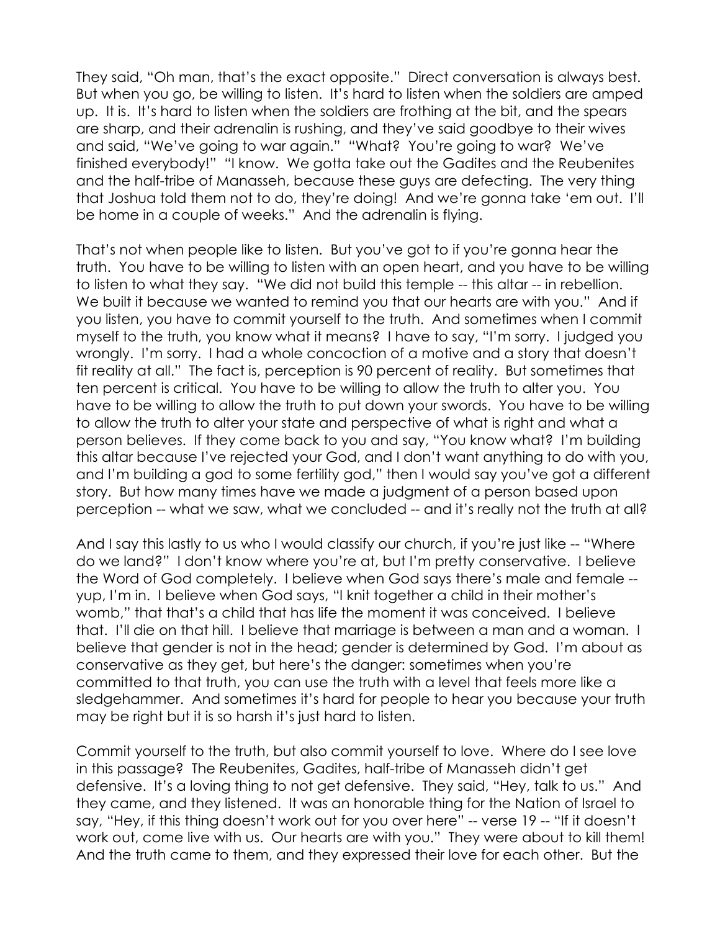They said, "Oh man, that's the exact opposite." Direct conversation is always best. But when you go, be willing to listen. It's hard to listen when the soldiers are amped up. It is. It's hard to listen when the soldiers are frothing at the bit, and the spears are sharp, and their adrenalin is rushing, and they've said goodbye to their wives and said, "We've going to war again." "What? You're going to war? We've finished everybody!" "I know. We gotta take out the Gadites and the Reubenites and the half-tribe of Manasseh, because these guys are defecting. The very thing that Joshua told them not to do, they're doing! And we're gonna take 'em out. I'll be home in a couple of weeks." And the adrenalin is flying.

That's not when people like to listen. But you've got to if you're gonna hear the truth. You have to be willing to listen with an open heart, and you have to be willing to listen to what they say. "We did not build this temple -- this altar -- in rebellion. We built it because we wanted to remind you that our hearts are with you." And if you listen, you have to commit yourself to the truth. And sometimes when I commit myself to the truth, you know what it means? I have to say, "I'm sorry. I judged you wrongly. I'm sorry. I had a whole concoction of a motive and a story that doesn't fit reality at all." The fact is, perception is 90 percent of reality. But sometimes that ten percent is critical. You have to be willing to allow the truth to alter you. You have to be willing to allow the truth to put down your swords. You have to be willing to allow the truth to alter your state and perspective of what is right and what a person believes. If they come back to you and say, "You know what? I'm building this altar because I've rejected your God, and I don't want anything to do with you, and I'm building a god to some fertility god," then I would say you've got a different story. But how many times have we made a judgment of a person based upon perception -- what we saw, what we concluded -- and it's really not the truth at all?

And I say this lastly to us who I would classify our church, if you're just like -- "Where do we land?" I don't know where you're at, but I'm pretty conservative. I believe the Word of God completely. I believe when God says there's male and female - yup, I'm in. I believe when God says, "I knit together a child in their mother's womb," that that's a child that has life the moment it was conceived. I believe that. I'll die on that hill. I believe that marriage is between a man and a woman. I believe that gender is not in the head; gender is determined by God. I'm about as conservative as they get, but here's the danger: sometimes when you're committed to that truth, you can use the truth with a level that feels more like a sledgehammer. And sometimes it's hard for people to hear you because your truth may be right but it is so harsh it's just hard to listen.

Commit yourself to the truth, but also commit yourself to love. Where do I see love in this passage? The Reubenites, Gadites, half-tribe of Manasseh didn't get defensive. It's a loving thing to not get defensive. They said, "Hey, talk to us." And they came, and they listened. It was an honorable thing for the Nation of Israel to say, "Hey, if this thing doesn't work out for you over here" -- verse 19 -- "If it doesn't work out, come live with us. Our hearts are with you." They were about to kill them! And the truth came to them, and they expressed their love for each other. But the